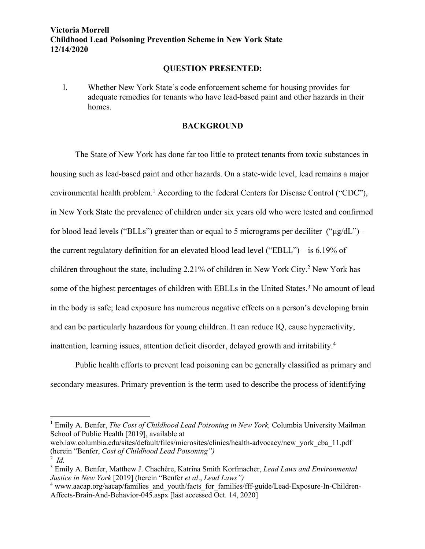## **QUESTION PRESENTED:**

I. Whether New York State's code enforcement scheme for housing provides for adequate remedies for tenants who have lead-based paint and other hazards in their homes.

## **BACKGROUND**

The State of New York has done far too little to protect tenants from toxic substances in housing such as lead-based paint and other hazards. On a state-wide level, lead remains a major environmental health problem.<sup>1</sup> According to the federal Centers for Disease Control ("CDC"), in New York State the prevalence of children under six years old who were tested and confirmed for blood lead levels ("BLLs") greater than or equal to 5 micrograms per deciliter (" $\mu$ g/dL") – the current regulatory definition for an elevated blood lead level ("EBLL") – is 6.19% of children throughout the state, including 2.21% of children in New York City.2 New York has some of the highest percentages of children with EBLLs in the United States.<sup>3</sup> No amount of lead in the body is safe; lead exposure has numerous negative effects on a person's developing brain and can be particularly hazardous for young children. It can reduce IQ, cause hyperactivity, inattention, learning issues, attention deficit disorder, delayed growth and irritability.<sup>4</sup>

Public health efforts to prevent lead poisoning can be generally classified as primary and secondary measures. Primary prevention is the term used to describe the process of identifying

<sup>&</sup>lt;sup>1</sup> Emily A. Benfer, *The Cost of Childhood Lead Poisoning in New York*, Columbia University Mailman School of Public Health [2019], available at

web.law.columbia.edu/sites/default/files/microsites/clinics/health-advocacy/new\_york\_cba\_11.pdf (herein "Benfer, *Cost of Childhood Lead Poisoning")*

<sup>2</sup> *Id.*

<sup>3</sup> Emily A. Benfer, Matthew J. Chachère, Katrina Smith Korfmacher, *Lead Laws and Environmental Justice in New York* [2019] (herein "Benfer *et al*., *Lead Laws")*

<sup>&</sup>lt;sup>4</sup> www.aacap.org/aacap/families\_and\_youth/facts\_for\_families/fff-guide/Lead-Exposure-In-Children-Affects-Brain-And-Behavior-045.aspx [last accessed Oct. 14, 2020]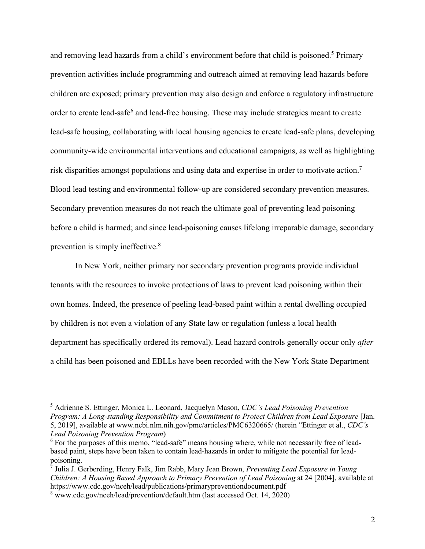and removing lead hazards from a child's environment before that child is poisoned.<sup>5</sup> Primary prevention activities include programming and outreach aimed at removing lead hazards before children are exposed; primary prevention may also design and enforce a regulatory infrastructure order to create lead-safe<sup>6</sup> and lead-free housing. These may include strategies meant to create lead-safe housing, collaborating with local housing agencies to create lead-safe plans, developing community-wide environmental interventions and educational campaigns, as well as highlighting risk disparities amongst populations and using data and expertise in order to motivate action.7 Blood lead testing and environmental follow-up are considered secondary prevention measures. Secondary prevention measures do not reach the ultimate goal of preventing lead poisoning before a child is harmed; and since lead-poisoning causes lifelong irreparable damage, secondary prevention is simply ineffective.8

In New York, neither primary nor secondary prevention programs provide individual tenants with the resources to invoke protections of laws to prevent lead poisoning within their own homes. Indeed, the presence of peeling lead-based paint within a rental dwelling occupied by children is not even a violation of any State law or regulation (unless a local health department has specifically ordered its removal). Lead hazard controls generally occur only *after* a child has been poisoned and EBLLs have been recorded with the New York State Department

<sup>5</sup> Adrienne S. Ettinger, Monica L. Leonard, Jacquelyn Mason, *CDC's Lead Poisoning Prevention Program: A Long-standing Responsibility and Commitment to Protect Children from Lead Exposure* [Jan. 5, 2019], available at www.ncbi.nlm.nih.gov/pmc/articles/PMC6320665/ (herein "Ettinger et al., *CDC's Lead Poisoning Prevention Program*)

<sup>&</sup>lt;sup>6</sup> For the purposes of this memo, "lead-safe" means housing where, while not necessarily free of leadbased paint, steps have been taken to contain lead-hazards in order to mitigate the potential for leadpoisoning.

<sup>7</sup> Julia J. Gerberding, Henry Falk, Jim Rabb, Mary Jean Brown, *Preventing Lead Exposure in Young Children: A Housing Based Approach to Primary Prevention of Lead Poisoning* at 24 [2004], available at https://www.cdc.gov/nceh/lead/publications/primarypreventiondocument.pdf

<sup>8</sup> www.cdc.gov/nceh/lead/prevention/default.htm (last accessed Oct. 14, 2020)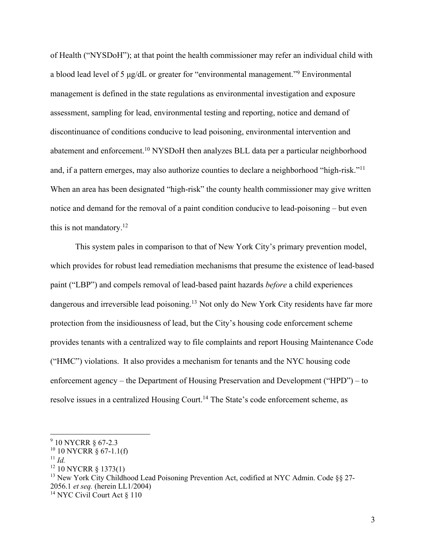of Health ("NYSDoH"); at that point the health commissioner may refer an individual child with a blood lead level of 5 μg/dL or greater for "environmental management."9 Environmental management is defined in the state regulations as environmental investigation and exposure assessment, sampling for lead, environmental testing and reporting, notice and demand of discontinuance of conditions conducive to lead poisoning, environmental intervention and abatement and enforcement.10 NYSDoH then analyzes BLL data per a particular neighborhood and, if a pattern emerges, may also authorize counties to declare a neighborhood "high-risk."11 When an area has been designated "high-risk" the county health commissioner may give written notice and demand for the removal of a paint condition conducive to lead-poisoning – but even this is not mandatory. $12$ 

This system pales in comparison to that of New York City's primary prevention model, which provides for robust lead remediation mechanisms that presume the existence of lead-based paint ("LBP") and compels removal of lead-based paint hazards *before* a child experiences dangerous and irreversible lead poisoning.<sup>13</sup> Not only do New York City residents have far more protection from the insidiousness of lead, but the City's housing code enforcement scheme provides tenants with a centralized way to file complaints and report Housing Maintenance Code ("HMC") violations. It also provides a mechanism for tenants and the NYC housing code enforcement agency – the Department of Housing Preservation and Development ("HPD") – to resolve issues in a centralized Housing Court.<sup>14</sup> The State's code enforcement scheme, as

<sup>13</sup> New York City Childhood Lead Poisoning Prevention Act, codified at NYC Admin. Code  $\S$ § 27-2056.1 *et seq.* (herein LL1/2004)

<sup>9</sup> 10 NYCRR § 67-2.3

 $10$  NYCRR  $\S$  67-1.1(f)

 $11$  *Id.* 

<sup>12</sup> 10 NYCRR § 1373(1)

<sup>&</sup>lt;sup>14</sup> NYC Civil Court Act § 110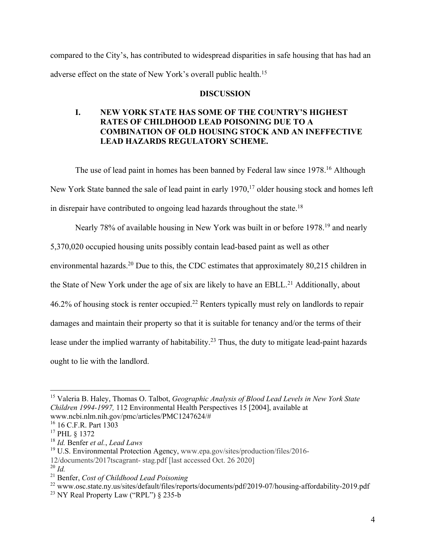compared to the City's, has contributed to widespread disparities in safe housing that has had an adverse effect on the state of New York's overall public health.<sup>15</sup>

### **DISCUSSION**

# **I. NEW YORK STATE HAS SOME OF THE COUNTRY'S HIGHEST RATES OF CHILDHOOD LEAD POISONING DUE TO A COMBINATION OF OLD HOUSING STOCK AND AN INEFFECTIVE LEAD HAZARDS REGULATORY SCHEME.**

The use of lead paint in homes has been banned by Federal law since 1978.<sup>16</sup> Although New York State banned the sale of lead paint in early 1970,<sup>17</sup> older housing stock and homes left in disrepair have contributed to ongoing lead hazards throughout the state.18

Nearly 78% of available housing in New York was built in or before 1978.<sup>19</sup> and nearly

5,370,020 occupied housing units possibly contain lead-based paint as well as other

environmental hazards.20 Due to this, the CDC estimates that approximately 80,215 children in

the State of New York under the age of six are likely to have an EBLL.<sup>21</sup> Additionally, about

46.2% of housing stock is renter occupied.<sup>22</sup> Renters typically must rely on landlords to repair

damages and maintain their property so that it is suitable for tenancy and/or the terms of their

lease under the implied warranty of habitability.<sup>23</sup> Thus, the duty to mitigate lead-paint hazards

ought to lie with the landlord.

<sup>15</sup> Valeria B. Haley, Thomas O. Talbot, *Geographic Analysis of Blood Lead Levels in New York State Children 1994-1997,* 112 Environmental Health Perspectives 15 [2004], available at www.ncbi.nlm.nih.gov/pmc/articles/PMC1247624/#

<sup>16</sup> 16 C.F.R. Part 1303

<sup>17</sup> PHL § 1372

<sup>18</sup> *Id.* Benfer *et al.*, *Lead Laws* 

<sup>&</sup>lt;sup>19</sup> U.S. Environmental Protection Agency, www.epa.gov/sites/production/files/2016-12/documents/2017tscagrant- stag.pdf [last accessed Oct. 26 2020]

<sup>20</sup> *Id.*

<sup>21</sup> Benfer, *Cost of Childhood Lead Poisoning*

<sup>&</sup>lt;sup>22</sup> www.osc.state.ny.us/sites/default/files/reports/documents/pdf/2019-07/housing-affordability-2019.pdf

<sup>&</sup>lt;sup>23</sup> NY Real Property Law ("RPL")  $\S$  235-b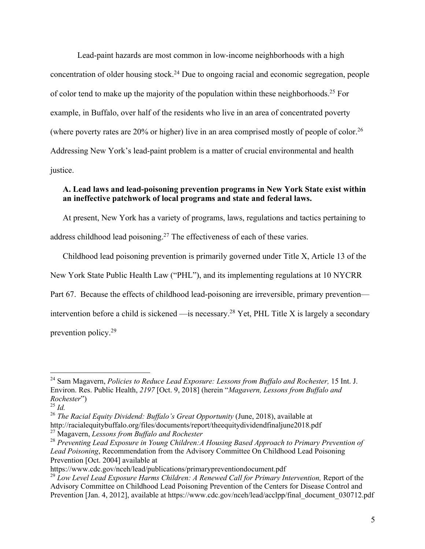Lead-paint hazards are most common in low-income neighborhoods with a high concentration of older housing stock.<sup>24</sup> Due to ongoing racial and economic segregation, people of color tend to make up the majority of the population within these neighborhoods.<sup>25</sup> For example, in Buffalo, over half of the residents who live in an area of concentrated poverty (where poverty rates are  $20\%$  or higher) live in an area comprised mostly of people of color.<sup>26</sup> Addressing New York's lead-paint problem is a matter of crucial environmental and health justice.

## **A. Lead laws and lead-poisoning prevention programs in New York State exist within an ineffective patchwork of local programs and state and federal laws.**

At present, New York has a variety of programs, laws, regulations and tactics pertaining to address childhood lead poisoning.<sup>27</sup> The effectiveness of each of these varies.

Childhood lead poisoning prevention is primarily governed under Title X, Article 13 of the New York State Public Health Law ("PHL"), and its implementing regulations at 10 NYCRR Part 67. Because the effects of childhood lead-poisoning are irreversible, primary prevention intervention before a child is sickened  $\frac{1}{10}$  is necessary.<sup>28</sup> Yet, PHL Title X is largely a secondary prevention policy.29

<sup>26</sup> *The Racial Equity Dividend: Buffalo's Great Opportunity (June, 2018), available at* http://racialequitybuffalo.org/files/documents/report/theequitydividendfinaljune2018.pdf <sup>27</sup> Magavern, *Lessons from Buffalo and Rochester*

<sup>&</sup>lt;sup>24</sup> Sam Magavern, *Policies to Reduce Lead Exposure: Lessons from Buffalo and Rochester*, 15 Int. J. Environ. Res. Public Health, *2197* [Oct. 9, 2018] (herein "*Magavern, Lessons from Buffalo and Rochester*")

 $^{25}$  *Id.* 

<sup>28</sup> *Preventing Lead Exposure in Young Children:A Housing Based Approach to Primary Prevention of Lead Poisoning*, Recommendation from the Advisory Committee On Childhood Lead Poisoning Prevention [Oct. 2004] available at

https://www.cdc.gov/nceh/lead/publications/primarypreventiondocument.pdf

<sup>29</sup> *Low Level Lead Exposure Harms Children: A Renewed Call for Primary Intervention,* Report of the Advisory Committee on Childhood Lead Poisoning Prevention of the Centers for Disease Control and Prevention [Jan. 4, 2012], available at https://www.cdc.gov/nceh/lead/acclpp/final\_document\_030712.pdf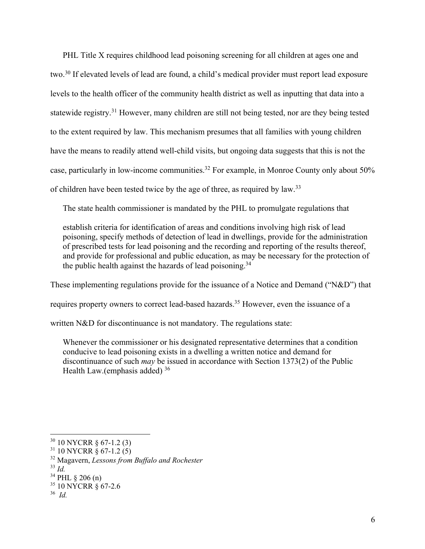PHL Title X requires childhood lead poisoning screening for all children at ages one and two.30 If elevated levels of lead are found, a child's medical provider must report lead exposure levels to the health officer of the community health district as well as inputting that data into a statewide registry.31 However, many children are still not being tested, nor are they being tested to the extent required by law. This mechanism presumes that all families with young children have the means to readily attend well-child visits, but ongoing data suggests that this is not the case, particularly in low-income communities.<sup>32</sup> For example, in Monroe County only about  $50\%$ of children have been tested twice by the age of three, as required by law.<sup>33</sup>

The state health commissioner is mandated by the PHL to promulgate regulations that

establish criteria for identification of areas and conditions involving high risk of lead poisoning, specify methods of detection of lead in dwellings, provide for the administration of prescribed tests for lead poisoning and the recording and reporting of the results thereof, and provide for professional and public education, as may be necessary for the protection of the public health against the hazards of lead poisoning.<sup>34</sup>

These implementing regulations provide for the issuance of a Notice and Demand ("N&D") that requires property owners to correct lead-based hazards.35 However, even the issuance of a

written N&D for discontinuance is not mandatory. The regulations state:

Whenever the commissioner or his designated representative determines that a condition conducive to lead poisoning exists in a dwelling a written notice and demand for discontinuance of such *may* be issued in accordance with Section 1373(2) of the Public Health Law.(emphasis added) 36

 $30$  10 NYCRR  $\frac{67-1.2(3)}{2}$ 

 $31$  10 NYCRR  $\frac{8}{9}$  67-1.2 (5)

<sup>32</sup> Magavern, *Lessons from Buffalo and Rochester*

<sup>33</sup> *Id.* 

 $34$  PHL  $\frac{1}{206}$  (n)

<sup>35</sup> 10 NYCRR § 67-2.6

<sup>36</sup> *Id.*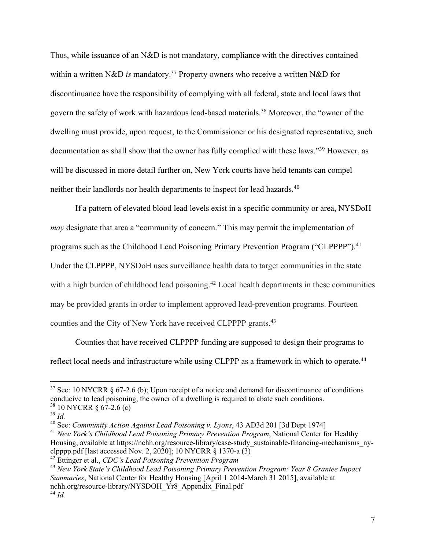Thus, while issuance of an N&D is not mandatory, compliance with the directives contained within a written N&D *is* mandatory. <sup>37</sup> Property owners who receive a written N&D for discontinuance have the responsibility of complying with all federal, state and local laws that govern the safety of work with hazardous lead-based materials.38 Moreover, the "owner of the dwelling must provide, upon request, to the Commissioner or his designated representative, such documentation as shall show that the owner has fully complied with these laws."39 However, as will be discussed in more detail further on, New York courts have held tenants can compel neither their landlords nor health departments to inspect for lead hazards.<sup>40</sup>

If a pattern of elevated blood lead levels exist in a specific community or area, NYSDoH *may* designate that area a "community of concern." This may permit the implementation of programs such as the Childhood Lead Poisoning Primary Prevention Program ("CLPPPP").<sup>41</sup> Under the CLPPPP, NYSDoH uses surveillance health data to target communities in the state with a high burden of childhood lead poisoning.<sup>42</sup> Local health departments in these communities may be provided grants in order to implement approved lead-prevention programs. Fourteen counties and the City of New York have received CLPPPP grants.43

Counties that have received CLPPPP funding are supposed to design their programs to reflect local needs and infrastructure while using CLPPP as a framework in which to operate.<sup>44</sup>

 $37$  See: 10 NYCRR  $\delta$  67-2.6 (b); Upon receipt of a notice and demand for discontinuance of conditions conducive to lead poisoning, the owner of a dwelling is required to abate such conditions.  $38\,10\,\text{NYCRR}$  § 67-2.6 (c)

<sup>39</sup> *Id.*

<sup>40</sup> See: *Community Action Against Lead Poisoning v. Lyons*, 43 AD3d 201 [3d Dept 1974]

<sup>41</sup> *New York's Childhood Lead Poisoning Primary Prevention Program*, National Center for Healthy Housing, available at https://nchh.org/resource-library/case-study\_sustainable-financing-mechanisms\_nyclpppp.pdf [last accessed Nov. 2, 2020]; 10 NYCRR  $\S$  1370-a (3)

<sup>42</sup> Ettinger et al., *CDC's Lead Poisoning Prevention Program*

<sup>43</sup> *New York State's Childhood Lead Poisoning Primary Prevention Program: Year 8 Grantee Impact Summaries*, National Center for Healthy Housing [April 1 2014-March 31 2015], available at nchh.org/resource-library/NYSDOH\_Yr8\_Appendix\_Final.pdf <sup>44</sup> *Id.*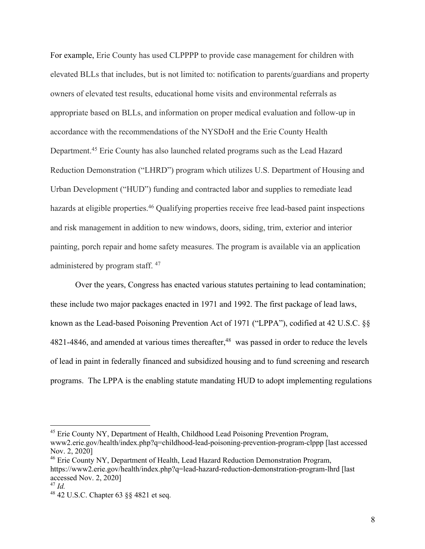For example, Erie County has used CLPPPP to provide case management for children with elevated BLLs that includes, but is not limited to: notification to parents/guardians and property owners of elevated test results, educational home visits and environmental referrals as appropriate based on BLLs, and information on proper medical evaluation and follow-up in accordance with the recommendations of the NYSDoH and the Erie County Health Department.45 Erie County has also launched related programs such as the Lead Hazard Reduction Demonstration ("LHRD") program which utilizes U.S. Department of Housing and Urban Development ("HUD") funding and contracted labor and supplies to remediate lead hazards at eligible properties.<sup>46</sup> Qualifying properties receive free lead-based paint inspections and risk management in addition to new windows, doors, siding, trim, exterior and interior painting, porch repair and home safety measures. The program is available via an application administered by program staff. 47

Over the years, Congress has enacted various statutes pertaining to lead contamination; these include two major packages enacted in 1971 and 1992. The first package of lead laws, known as the Lead-based Poisoning Prevention Act of 1971 ("LPPA"), codified at 42 U.S.C. §§ 4821-4846, and amended at various times thereafter,<sup>48</sup> was passed in order to reduce the levels of lead in paint in federally financed and subsidized housing and to fund screening and research programs. The LPPA is the enabling statute mandating HUD to adopt implementing regulations

<sup>&</sup>lt;sup>45</sup> Erie County NY, Department of Health, Childhood Lead Poisoning Prevention Program, www2.erie.gov/health/index.php?q=childhood-lead-poisoning-prevention-program-clppp [last accessed Nov. 2, 2020]

<sup>46</sup> Erie County NY, Department of Health, Lead Hazard Reduction Demonstration Program, https://www2.erie.gov/health/index.php?q=lead-hazard-reduction-demonstration-program-lhrd [last accessed Nov. 2, 2020]

<sup>47</sup> *Id.*

<sup>48</sup> 42 U.S.C. Chapter 63 §§ 4821 et seq.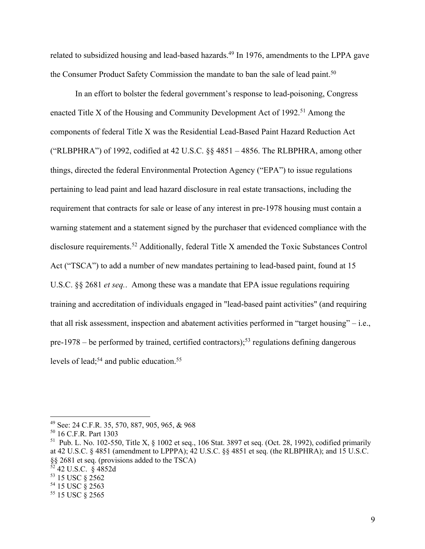related to subsidized housing and lead-based hazards.<sup>49</sup> In 1976, amendments to the LPPA gave the Consumer Product Safety Commission the mandate to ban the sale of lead paint.<sup>50</sup>

In an effort to bolster the federal government's response to lead-poisoning, Congress enacted Title X of the Housing and Community Development Act of 1992.<sup>51</sup> Among the components of federal Title X was the Residential Lead-Based Paint Hazard Reduction Act ("RLBPHRA") of 1992, codified at 42 U.S.C.  $\S$  4851 – 4856. The RLBPHRA, among other things, directed the federal Environmental Protection Agency ("EPA") to issue regulations pertaining to lead paint and lead hazard disclosure in real estate transactions, including the requirement that contracts for sale or lease of any interest in pre-1978 housing must contain a warning statement and a statement signed by the purchaser that evidenced compliance with the disclosure requirements.<sup>52</sup> Additionally, federal Title X amended the Toxic Substances Control Act ("TSCA") to add a number of new mandates pertaining to lead-based paint, found at 15 U.S.C. §§ 2681 *et seq.*. Among these was a mandate that EPA issue regulations requiring training and accreditation of individuals engaged in "lead-based paint activities" (and requiring that all risk assessment, inspection and abatement activities performed in "target housing" – i.e., pre-1978 – be performed by trained, certified contractors);<sup>53</sup> regulations defining dangerous levels of lead;<sup>54</sup> and public education.<sup>55</sup>

<sup>49</sup> See: 24 C.F.R. 35, 570, 887, 905, 965, & 968

<sup>50</sup> 16 C.F.R. Part 1303

<sup>&</sup>lt;sup>51</sup> Pub. L. No. 102-550, Title X,  $\frac{1}{2}$  1002 et seq., 106 Stat. 3897 et seq. (Oct. 28, 1992), codified primarily at 42 U.S.C. § 4851 (amendment to LPPPA); 42 U.S.C. §§ 4851 et seq. (the RLBPHRA); and 15 U.S.C. §§ 2681 et seq. (provisions added to the TSCA)

<sup>52</sup> 42 U.S.C. § 4852d

<sup>53</sup> 15 USC § 2562

<sup>54</sup> 15 USC § 2563

<sup>55</sup> 15 USC § 2565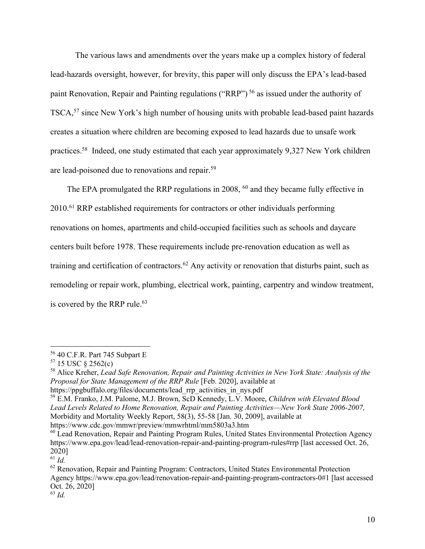The various laws and amendments over the years make up a complex history of federal lead-hazards oversight, however, for brevity, this paper will only discuss the EPA's lead-based paint Renovation, Repair and Painting regulations ("RRP") <sup>56</sup> as issued under the authority of TSCA,<sup>57</sup> since New York's high number of housing units with probable lead-based paint hazards creates a situation where children are becoming exposed to lead hazards due to unsafe work practices.<sup>58</sup> Indeed, one study estimated that each year approximately 9,327 New York children are lead-poisoned due to renovations and repair.59

The EPA promulgated the RRP regulations in 2008, <sup>60</sup> and they became fully effective in 2010.61 RRP established requirements for contractors or other individuals performing renovations on homes, apartments and child-occupied facilities such as schools and daycare centers built before 1978. These requirements include pre-renovation education as well as training and certification of contractors.<sup>62</sup> Any activity or renovation that disturbs paint, such as remodeling or repair work, plumbing, electrical work, painting, carpentry and window treatment, is covered by the RRP rule.<sup>63</sup>

<sup>56</sup> 40 C.F.R. Part 745 Subpart E

 $57$  15 USC  $\frac{2562(c)}{c}$ 

<sup>58</sup> Alice Kreher, *Lead Safe Renovation, Repair and Painting Activities in New York State: Analysis of the Proposal for State Management of the RRP Rule* [Feb. 2020], available at https://ppgbuffalo.org/files/documents/lead\_rrp\_activities\_in\_nys.pdf

<sup>59</sup> E.M. Franko, J.M. Palome, M.J. Brown, ScD Kennedy, L.V. Moore, *Children with Elevated Blood Lead Levels Related to Home Renovation, Repair and Painting Activities––New York State 2006-2007,* Morbidity and Mortality Weekly Report, 58(3), 55-58 [Jan. 30, 2009], available at

https://www.cdc.gov/mmwr/preview/mmwrhtml/mm5803a3.htm

<sup>60</sup> Lead Renovation, Repair and Painting Program Rules, United States Environmental Protection Agency https://www.epa.gov/lead/lead-renovation-repair-and-painting-program-rules#rrp [last accessed Oct. 26, 2020]

<sup>61</sup> *Id.*

 $62$  Renovation, Repair and Painting Program: Contractors, United States Environmental Protection Agency https://www.epa.gov/lead/renovation-repair-and-painting-program-contractors-0#1 [last accessed Oct. 26, 2020]

<sup>63</sup> *Id.*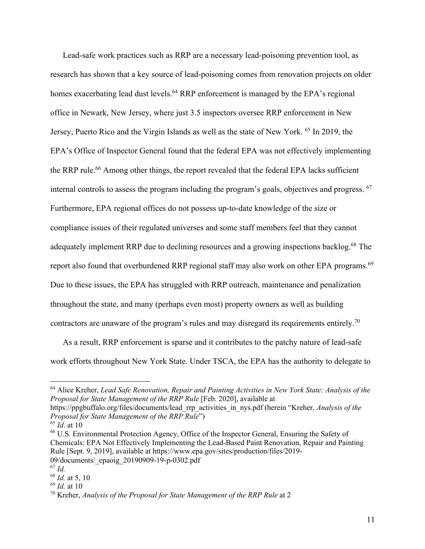Lead-safe work practices such as RRP are a necessary lead-poisoning prevention tool, as research has shown that a key source of lead-poisoning comes from renovation projects on older homes exacerbating lead dust levels.<sup>64</sup> RRP enforcement is managed by the EPA's regional office in Newark, New Jersey, where just 3.5 inspectors oversee RRP enforcement in New Jersey, Puerto Rico and the Virgin Islands as well as the state of New York. <sup>65</sup> In 2019, the EPA's Office of Inspector General found that the federal EPA was not effectively implementing the RRP rule.<sup>66</sup> Among other things, the report revealed that the federal EPA lacks sufficient internal controls to assess the program including the program's goals, objectives and progress. 67 Furthermore, EPA regional offices do not possess up-to-date knowledge of the size or compliance issues of their regulated universes and some staff members feel that they cannot adequately implement RRP due to declining resources and a growing inspections backlog.<sup>68</sup> The report also found that overburdened RRP regional staff may also work on other EPA programs.<sup>69</sup> Due to these issues, the EPA has struggled with RRP outreach, maintenance and penalization throughout the state, and many (perhaps even most) property owners as well as building contractors are unaware of the program's rules and may disregard its requirements entirely.<sup>70</sup>

As a result, RRP enforcement is sparse and it contributes to the patchy nature of lead-safe work efforts throughout New York State. Under TSCA, the EPA has the authority to delegate to

<sup>64</sup> Alice Kreher, *Lead Safe Renovation, Repair and Painting Activities in New York State: Analysis of the Proposal for State Management of the RRP Rule* [Feb. 2020], available at https://ppgbuffalo.org/files/documents/lead\_rrp\_activities\_in\_nys.pdf (herein "Kreher, *Analysis of the* 

*Proposal for State Management of the RRP Rule*")

 $65 \hat{Id}$  at 10

<sup>66</sup> U.S. Environmental Protection Agency, Office of the Inspector General, Ensuring the Safety of Chemicals: EPA Not Effectively Implementing the Lead-Based Paint Renovation, Repair and Painting Rule [Sept. 9, 2019], available at https://www.epa.gov/sites/production/files/2019- 09/documents/\_epaoig\_20190909-19-p-0302.pdf

<sup>67</sup> *Id.*

<sup>68</sup> *Id.* at 5, 10

<sup>69</sup> *Id.* at 10

<sup>70</sup> Kreher, *Analysis of the Proposal for State Management of the RRP Rule* at 2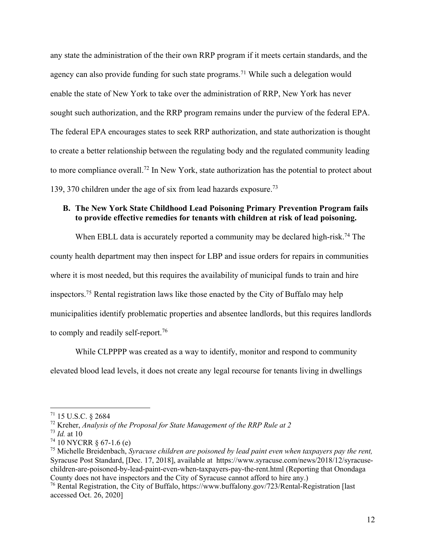any state the administration of the their own RRP program if it meets certain standards, and the agency can also provide funding for such state programs.<sup>71</sup> While such a delegation would enable the state of New York to take over the administration of RRP, New York has never sought such authorization, and the RRP program remains under the purview of the federal EPA. The federal EPA encourages states to seek RRP authorization, and state authorization is thought to create a better relationship between the regulating body and the regulated community leading to more compliance overall.72 In New York, state authorization has the potential to protect about 139, 370 children under the age of six from lead hazards exposure.<sup>73</sup>

# **B. The New York State Childhood Lead Poisoning Primary Prevention Program fails to provide effective remedies for tenants with children at risk of lead poisoning.**

When EBLL data is accurately reported a community may be declared high-risk.<sup>74</sup> The county health department may then inspect for LBP and issue orders for repairs in communities where it is most needed, but this requires the availability of municipal funds to train and hire inspectors.75 Rental registration laws like those enacted by the City of Buffalo may help municipalities identify problematic properties and absentee landlords, but this requires landlords to comply and readily self-report.76

While CLPPPP was created as a way to identify, monitor and respond to community elevated blood lead levels, it does not create any legal recourse for tenants living in dwellings

<sup>71</sup> 15 U.S.C. § 2684

<sup>72</sup> Kreher, *Analysis of the Proposal for State Management of the RRP Rule at 2*

<sup>73</sup> *Id.* at 10

 $74$  10 NYCRR  $\S$  67-1.6 (e)

<sup>75</sup> Michelle Breidenbach, *Syracuse children are poisoned by lead paint even when taxpayers pay the rent,* Syracuse Post Standard, [Dec. 17, 2018], available athttps://www.syracuse.com/news/2018/12/syracusechildren-are-poisoned-by-lead-paint-even-when-taxpayers-pay-the-rent.html (Reporting that Onondaga County does not have inspectors and the City of Syracuse cannot afford to hire any.)

<sup>76</sup> Rental Registration, the City of Buffalo, https://www.buffalony.gov/723/Rental-Registration [last accessed Oct. 26, 2020]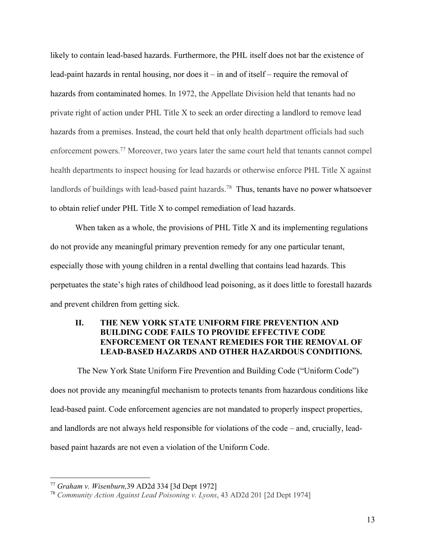likely to contain lead-based hazards. Furthermore, the PHL itself does not bar the existence of lead-paint hazards in rental housing, nor does it – in and of itself – require the removal of hazards from contaminated homes. In 1972, the Appellate Division held that tenants had no private right of action under PHL Title X to seek an order directing a landlord to remove lead hazards from a premises. Instead, the court held that only health department officials had such enforcement powers.77 Moreover, two years later the same court held that tenants cannot compel health departments to inspect housing for lead hazards or otherwise enforce PHL Title X against landlords of buildings with lead-based paint hazards.<sup>78</sup> Thus, tenants have no power whatsoever to obtain relief under PHL Title X to compel remediation of lead hazards.

When taken as a whole, the provisions of PHL Title X and its implementing regulations do not provide any meaningful primary prevention remedy for any one particular tenant, especially those with young children in a rental dwelling that contains lead hazards. This perpetuates the state's high rates of childhood lead poisoning, as it does little to forestall hazards and prevent children from getting sick.

## **II. THE NEW YORK STATE UNIFORM FIRE PREVENTION AND BUILDING CODE FAILS TO PROVIDE EFFECTIVE CODE ENFORCEMENT OR TENANT REMEDIES FOR THE REMOVAL OF LEAD-BASED HAZARDS AND OTHER HAZARDOUS CONDITIONS.**

The New York State Uniform Fire Prevention and Building Code ("Uniform Code") does not provide any meaningful mechanism to protects tenants from hazardous conditions like lead-based paint. Code enforcement agencies are not mandated to properly inspect properties, and landlords are not always held responsible for violations of the code – and, crucially, leadbased paint hazards are not even a violation of the Uniform Code.

<sup>77</sup> *Graham v. Wisenburn,*39 AD2d 334 [3d Dept 1972]

<sup>78</sup> *Community Action Against Lead Poisoning v. Lyons*, 43 AD2d 201 [2d Dept 1974]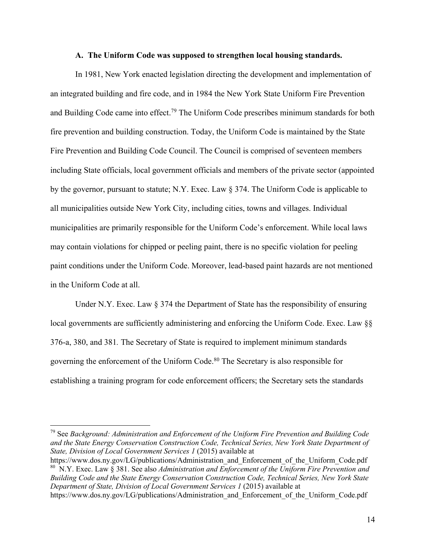### **A. The Uniform Code was supposed to strengthen local housing standards.**

In 1981, New York enacted legislation directing the development and implementation of an integrated building and fire code, and in 1984 the New York State Uniform Fire Prevention and Building Code came into effect.<sup>79</sup> The Uniform Code prescribes minimum standards for both fire prevention and building construction. Today, the Uniform Code is maintained by the State Fire Prevention and Building Code Council. The Council is comprised of seventeen members including State officials, local government officials and members of the private sector (appointed by the governor, pursuant to statute; N.Y. Exec. Law § 374. The Uniform Code is applicable to all municipalities outside New York City, including cities, towns and villages. Individual municipalities are primarily responsible for the Uniform Code's enforcement. While local laws may contain violations for chipped or peeling paint, there is no specific violation for peeling paint conditions under the Uniform Code. Moreover, lead-based paint hazards are not mentioned in the Uniform Code at all.

Under N.Y. Exec. Law § 374 the Department of State has the responsibility of ensuring local governments are sufficiently administering and enforcing the Uniform Code. Exec. Law §§ 376-a, 380, and 381*.* The Secretary of State is required to implement minimum standards governing the enforcement of the Uniform Code.80 The Secretary is also responsible for establishing a training program for code enforcement officers; the Secretary sets the standards

<sup>79</sup> See *Background: Administration and Enforcement of the Uniform Fire Prevention and Building Code and the State Energy Conservation Construction Code, Technical Series, New York State Department of State, Division of Local Government Services 1* (2015) available at

https://www.dos.ny.gov/LG/publications/Administration and Enforcement of the Uniform Code.pdf 80 N.Y. Exec. Law § 381. See also *Administration and Enforcement of the Uniform Fire Prevention and Building Code and the State Energy Conservation Construction Code, Technical Series, New York State Department of State, Division of Local Government Services 1* (2015) available at

https://www.dos.ny.gov/LG/publications/Administration and Enforcement of the Uniform Code.pdf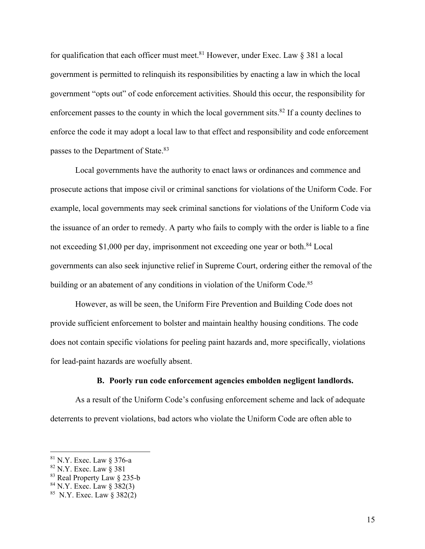for qualification that each officer must meet.<sup>81</sup> However, under Exec. Law  $\S$  381 a local government is permitted to relinquish its responsibilities by enacting a law in which the local government "opts out" of code enforcement activities. Should this occur, the responsibility for enforcement passes to the county in which the local government sits. ${}^{82}$  If a county declines to enforce the code it may adopt a local law to that effect and responsibility and code enforcement passes to the Department of State.<sup>83</sup>

Local governments have the authority to enact laws or ordinances and commence and prosecute actions that impose civil or criminal sanctions for violations of the Uniform Code. For example, local governments may seek criminal sanctions for violations of the Uniform Code via the issuance of an order to remedy. A party who fails to comply with the order is liable to a fine not exceeding \$1,000 per day, imprisonment not exceeding one year or both.<sup>84</sup> Local governments can also seek injunctive relief in Supreme Court, ordering either the removal of the building or an abatement of any conditions in violation of the Uniform Code.<sup>85</sup>

However, as will be seen, the Uniform Fire Prevention and Building Code does not provide sufficient enforcement to bolster and maintain healthy housing conditions. The code does not contain specific violations for peeling paint hazards and, more specifically, violations for lead-paint hazards are woefully absent.

#### **B. Poorly run code enforcement agencies embolden negligent landlords.**

As a result of the Uniform Code's confusing enforcement scheme and lack of adequate deterrents to prevent violations, bad actors who violate the Uniform Code are often able to

 $81$  N.Y. Exec. Law § 376-a

<sup>82</sup> N.Y. Exec. Law § 381

<sup>83</sup> Real Property Law § 235-b

 $84$  N.Y. Exec. Law  $\S 382(3)$ 

 $85$  N.Y. Exec. Law  $\S 382(2)$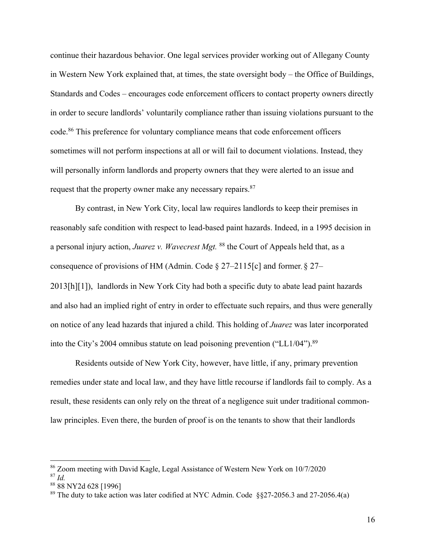continue their hazardous behavior. One legal services provider working out of Allegany County in Western New York explained that, at times, the state oversight body – the Office of Buildings, Standards and Codes – encourages code enforcement officers to contact property owners directly in order to secure landlords' voluntarily compliance rather than issuing violations pursuant to the code.<sup>86</sup> This preference for voluntary compliance means that code enforcement officers sometimes will not perform inspections at all or will fail to document violations. Instead, they will personally inform landlords and property owners that they were alerted to an issue and request that the property owner make any necessary repairs.<sup>87</sup>

By contrast, in New York City, local law requires landlords to keep their premises in reasonably safe condition with respect to lead-based paint hazards. Indeed, in a 1995 decision in a personal injury action, *Juarez v. Wavecrest Mgt.* <sup>88</sup> the Court of Appeals held that, as a consequence of provisions of HM (Admin. Code § 27–2115[c] and former, § 27– 2013[h][1]), landlords in New York City had both a specific duty to abate lead paint hazards and also had an implied right of entry in order to effectuate such repairs, and thus were generally on notice of any lead hazards that injured a child. This holding of *Juarez* was later incorporated into the City's 2004 omnibus statute on lead poisoning prevention ("LL1/04").<sup>89</sup>

Residents outside of New York City, however, have little, if any, primary prevention remedies under state and local law, and they have little recourse if landlords fail to comply. As a result, these residents can only rely on the threat of a negligence suit under traditional commonlaw principles. Even there, the burden of proof is on the tenants to show that their landlords

<sup>86</sup> Zoom meeting with David Kagle, Legal Assistance of Western New York on 10/7/2020

<sup>87</sup> *Id.*

<sup>88</sup> 88 NY2d 628 [1996]

<sup>&</sup>lt;sup>89</sup> The duty to take action was later codified at NYC Admin. Code  $\S$ §27-2056.3 and 27-2056.4(a)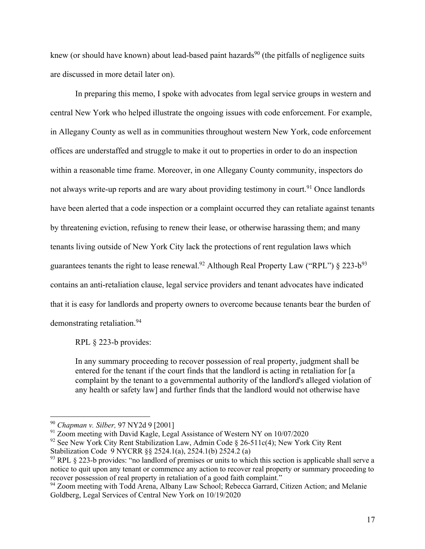knew (or should have known) about lead-based paint hazards<sup>90</sup> (the pitfalls of negligence suits are discussed in more detail later on).

In preparing this memo, I spoke with advocates from legal service groups in western and central New York who helped illustrate the ongoing issues with code enforcement. For example, in Allegany County as well as in communities throughout western New York, code enforcement offices are understaffed and struggle to make it out to properties in order to do an inspection within a reasonable time frame. Moreover, in one Allegany County community, inspectors do not always write-up reports and are wary about providing testimony in court.<sup>91</sup> Once landlords have been alerted that a code inspection or a complaint occurred they can retaliate against tenants by threatening eviction, refusing to renew their lease, or otherwise harassing them; and many tenants living outside of New York City lack the protections of rent regulation laws which guarantees tenants the right to lease renewal.<sup>92</sup> Although Real Property Law ("RPL")  $\S$  223-b<sup>93</sup> contains an anti-retaliation clause, legal service providers and tenant advocates have indicated that it is easy for landlords and property owners to overcome because tenants bear the burden of demonstrating retaliation.94

RPL § 223-b provides:

In any summary proceeding to recover possession of real property, judgment shall be entered for the tenant if the court finds that the landlord is acting in retaliation for [a complaint by the tenant to a governmental authority of the landlord's alleged violation of any health or safety law] and further finds that the landlord would not otherwise have

<sup>90</sup> *Chapman v. Silber,* 97 NY2d 9 [2001]

<sup>&</sup>lt;sup>91</sup> Zoom meeting with David Kagle, Legal Assistance of Western NY on 10/07/2020

 $92$  See New York City Rent Stabilization Law, Admin Code § 26-511c(4); New York City Rent Stabilization Code 9 NYCRR §§ 2524.1(a), 2524.1(b) 2524.2 (a)

 $93$  RPL § 223-b provides: "no landlord of premises or units to which this section is applicable shall serve a notice to quit upon any tenant or commence any action to recover real property or summary proceeding to recover possession of real property in retaliation of a good faith complaint."

<sup>&</sup>lt;sup>94</sup> Zoom meeting with Todd Arena, Albany Law School; Rebecca Garrard, Citizen Action; and Melanie Goldberg, Legal Services of Central New York on 10/19/2020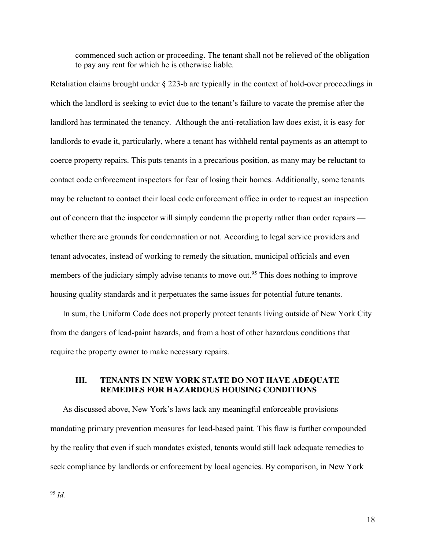commenced such action or proceeding. The tenant shall not be relieved of the obligation to pay any rent for which he is otherwise liable.

Retaliation claims brought under § 223-b are typically in the context of hold-over proceedings in which the landlord is seeking to evict due to the tenant's failure to vacate the premise after the landlord has terminated the tenancy. Although the anti-retaliation law does exist, it is easy for landlords to evade it, particularly, where a tenant has withheld rental payments as an attempt to coerce property repairs. This puts tenants in a precarious position, as many may be reluctant to contact code enforcement inspectors for fear of losing their homes. Additionally, some tenants may be reluctant to contact their local code enforcement office in order to request an inspection out of concern that the inspector will simply condemn the property rather than order repairs whether there are grounds for condemnation or not. According to legal service providers and tenant advocates, instead of working to remedy the situation, municipal officials and even members of the judiciary simply advise tenants to move out.<sup>95</sup> This does nothing to improve housing quality standards and it perpetuates the same issues for potential future tenants.

In sum, the Uniform Code does not properly protect tenants living outside of New York City from the dangers of lead-paint hazards, and from a host of other hazardous conditions that require the property owner to make necessary repairs.

## **III. TENANTS IN NEW YORK STATE DO NOT HAVE ADEQUATE REMEDIES FOR HAZARDOUS HOUSING CONDITIONS**

As discussed above, New York's laws lack any meaningful enforceable provisions mandating primary prevention measures for lead-based paint. This flaw is further compounded by the reality that even if such mandates existed, tenants would still lack adequate remedies to seek compliance by landlords or enforcement by local agencies. By comparison, in New York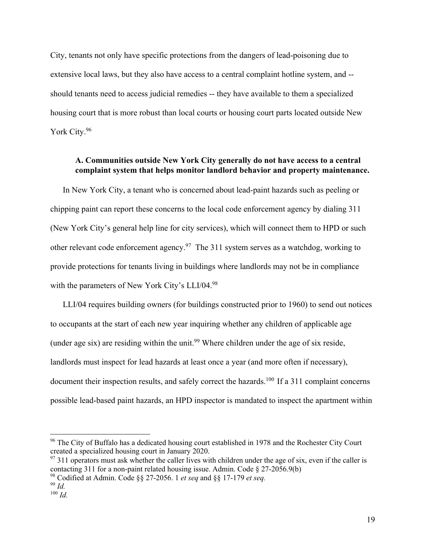City, tenants not only have specific protections from the dangers of lead-poisoning due to extensive local laws, but they also have access to a central complaint hotline system, and - should tenants need to access judicial remedies -- they have available to them a specialized housing court that is more robust than local courts or housing court parts located outside New York City.96

# **A. Communities outside New York City generally do not have access to a central complaint system that helps monitor landlord behavior and property maintenance.**

In New York City, a tenant who is concerned about lead-paint hazards such as peeling or chipping paint can report these concerns to the local code enforcement agency by dialing 311 (New York City's general help line for city services), which will connect them to HPD or such other relevant code enforcement agency.<sup>97</sup> The 311 system serves as a watchdog, working to provide protections for tenants living in buildings where landlords may not be in compliance with the parameters of New York City's LLI/04.98

LLI/04 requires building owners (for buildings constructed prior to 1960) to send out notices to occupants at the start of each new year inquiring whether any children of applicable age (under age six) are residing within the unit.<sup>99</sup> Where children under the age of six reside, landlords must inspect for lead hazards at least once a year (and more often if necessary), document their inspection results, and safely correct the hazards.<sup>100</sup> If a 311 complaint concerns possible lead-based paint hazards, an HPD inspector is mandated to inspect the apartment within

<sup>&</sup>lt;sup>96</sup> The City of Buffalo has a dedicated housing court established in 1978 and the Rochester City Court created a specialized housing court in January 2020.

 $97$  311 operators must ask whether the caller lives with children under the age of six, even if the caller is contacting 311 for a non-paint related housing issue. Admin. Code § 27-2056.9(b)

<sup>98</sup> Codified at Admin. Code §§ 27-2056. 1 *et seq* and §§ 17-179 *et seq.*

<sup>99</sup> *Id.* 

 $100$  *Id.*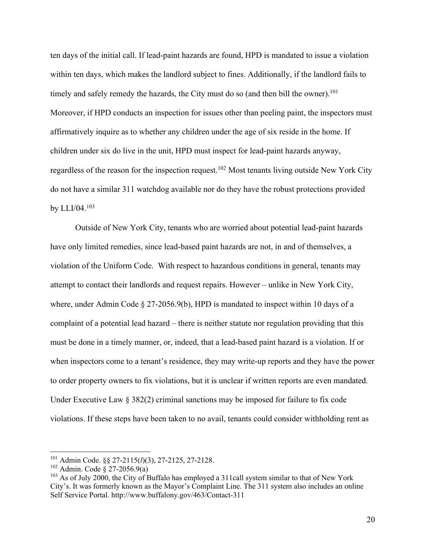ten days of the initial call. If lead-paint hazards are found, HPD is mandated to issue a violation within ten days, which makes the landlord subject to fines. Additionally, if the landlord fails to timely and safely remedy the hazards, the City must do so (and then bill the owner).<sup>101</sup> Moreover, if HPD conducts an inspection for issues other than peeling paint, the inspectors must affirmatively inquire as to whether any children under the age of six reside in the home. If children under six do live in the unit, HPD must inspect for lead-paint hazards anyway, regardless of the reason for the inspection request.102 Most tenants living outside New York City do not have a similar 311 watchdog available nor do they have the robust protections provided by LLI/04.103

Outside of New York City, tenants who are worried about potential lead-paint hazards have only limited remedies, since lead-based paint hazards are not, in and of themselves, a violation of the Uniform Code. With respect to hazardous conditions in general, tenants may attempt to contact their landlords and request repairs. However – unlike in New York City, where, under Admin Code § 27-2056.9(b), HPD is mandated to inspect within 10 days of a complaint of a potential lead hazard – there is neither statute nor regulation providing that this must be done in a timely manner, or, indeed, that a lead-based paint hazard is a violation. If or when inspectors come to a tenant's residence, they may write-up reports and they have the power to order property owners to fix violations, but it is unclear if written reports are even mandated. Under Executive Law § 382(2) criminal sanctions may be imposed for failure to fix code violations. If these steps have been taken to no avail, tenants could consider withholding rent as

<sup>101</sup> Admin Code. §§ 27-2115(*l*)(3), 27-2125, 27-2128.

<sup>102</sup> Admin. Code § 27-2056.9(a)

<sup>&</sup>lt;sup>103</sup> As of July 2000, the City of Buffalo has employed a 311call system similar to that of New York City's. It was formerly known as the Mayor's Complaint Line. The 311 system also includes an online Self Service Portal. http://www.buffalony.gov/463/Contact-311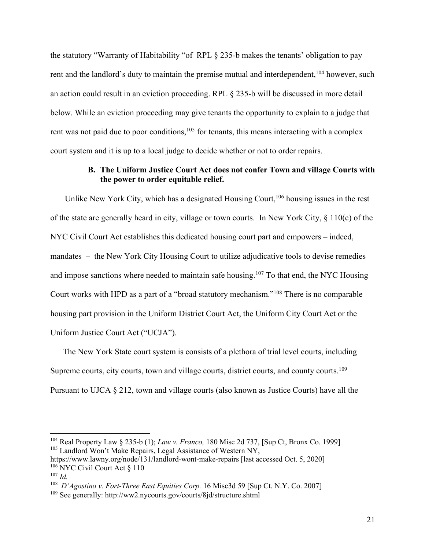the statutory "Warranty of Habitability "of RPL § 235-b makes the tenants' obligation to pay rent and the landlord's duty to maintain the premise mutual and interdependent, <sup>104</sup> however, such an action could result in an eviction proceeding. RPL § 235-b will be discussed in more detail below. While an eviction proceeding may give tenants the opportunity to explain to a judge that rent was not paid due to poor conditions, $105$  for tenants, this means interacting with a complex court system and it is up to a local judge to decide whether or not to order repairs.

# **B. The Uniform Justice Court Act does not confer Town and village Courts with the power to order equitable relief.**

Unlike New York City, which has a designated Housing Court,<sup>106</sup> housing issues in the rest of the state are generally heard in city, village or town courts. In New York City, § 110(c) of the NYC Civil Court Act establishes this dedicated housing court part and empowers – indeed, mandates – the New York City Housing Court to utilize adjudicative tools to devise remedies and impose sanctions where needed to maintain safe housing.107 To that end, the NYC Housing Court works with HPD as a part of a "broad statutory mechanism."108 There is no comparable housing part provision in the Uniform District Court Act, the Uniform City Court Act or the Uniform Justice Court Act ("UCJA").

The New York State court system is consists of a plethora of trial level courts, including Supreme courts, city courts, town and village courts, district courts, and county courts.<sup>109</sup> Pursuant to UJCA § 212, town and village courts (also known as Justice Courts) have all the

<sup>104</sup> Real Property Law § 235-b (1); *Law v. Franco,* 180 Misc 2d 737, [Sup Ct, Bronx Co. 1999] <sup>105</sup> Landlord Won't Make Repairs, Legal Assistance of Western NY,

https://www.lawny.org/node/131/landlord-wont-make-repairs [last accessed Oct. 5, 2020]  $106$  NYC Civil Court Act § 110

<sup>107</sup> *Id.*

<sup>&</sup>lt;sup>108</sup> *D'Agostino v. Fort-Three East Equities Corp.* 16 Misc3d 59 [Sup Ct. N.Y. Co. 2007]

<sup>109</sup> See generally: http://ww2.nycourts.gov/courts/8jd/structure.shtml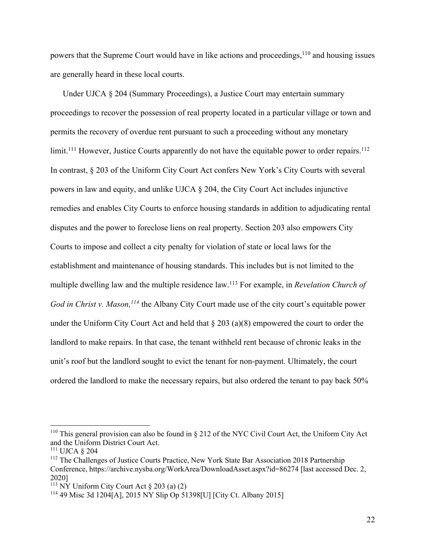powers that the Supreme Court would have in like actions and proceedings, <sup>110</sup> and housing issues are generally heard in these local courts.

Under UJCA § 204 (Summary Proceedings), a Justice Court may entertain summary proceedings to recover the possession of real property located in a particular village or town and permits the recovery of overdue rent pursuant to such a proceeding without any monetary limit.<sup>111</sup> However, Justice Courts apparently do not have the equitable power to order repairs.<sup>112</sup> In contrast, § 203 of the Uniform City Court Act confers New York's City Courts with several powers in law and equity, and unlike UJCA § 204, the City Court Act includes injunctive remedies and enables City Courts to enforce housing standards in addition to adjudicating rental disputes and the power to foreclose liens on real property. Section 203 also empowers City Courts to impose and collect a city penalty for violation of state or local laws for the establishment and maintenance of housing standards. This includes but is not limited to the multiple dwelling law and the multiple residence law.113 For example, in *Revelation Church of God in Christ v. Mason, <sup>114</sup>* the Albany City Court made use of the city court's equitable power under the Uniform City Court Act and held that § 203 (a)(8) empowered the court to order the landlord to make repairs. In that case, the tenant withheld rent because of chronic leaks in the unit's roof but the landlord sought to evict the tenant for non-payment. Ultimately, the court ordered the landlord to make the necessary repairs, but also ordered the tenant to pay back 50%

<sup>&</sup>lt;sup>110</sup> This general provision can also be found in  $\S 212$  of the NYC Civil Court Act, the Uniform City Act and the Uniform District Court Act.

<sup>111</sup> UJCA § 204

<sup>&</sup>lt;sup>112</sup> The Challenges of Justice Courts Practice, New York State Bar Association 2018 Partnership Conference, https://archive.nysba.org/WorkArea/DownloadAsset.aspx?id=86274 [last accessed Dec. 2, 2020]

<sup>&</sup>lt;sup>113</sup> NY Uniform City Court Act  $\S 203$  (a) (2)

<sup>114</sup> 49 Misc 3d 1204[A], 2015 NY Slip Op 51398[U] [City Ct. Albany 2015]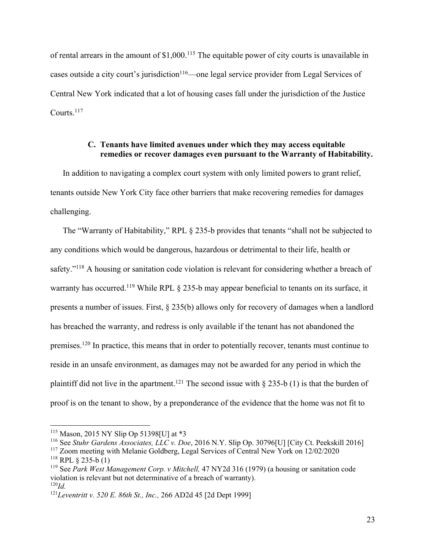of rental arrears in the amount of \$1,000.<sup>115</sup> The equitable power of city courts is unavailable in cases outside a city court's jurisdiction<sup>116</sup>—one legal service provider from Legal Services of Central New York indicated that a lot of housing cases fall under the jurisdiction of the Justice Courts.117

## **C. Tenants have limited avenues under which they may access equitable remedies or recover damages even pursuant to the Warranty of Habitability.**

In addition to navigating a complex court system with only limited powers to grant relief, tenants outside New York City face other barriers that make recovering remedies for damages challenging.

The "Warranty of Habitability," RPL § 235-b provides that tenants "shall not be subjected to any conditions which would be dangerous, hazardous or detrimental to their life, health or safety."<sup>118</sup> A housing or sanitation code violation is relevant for considering whether a breach of warranty has occurred.<sup>119</sup> While RPL § 235-b may appear beneficial to tenants on its surface, it presents a number of issues. First, § 235(b) allows only for recovery of damages when a landlord has breached the warranty, and redress is only available if the tenant has not abandoned the premises.120 In practice, this means that in order to potentially recover, tenants must continue to reside in an unsafe environment, as damages may not be awarded for any period in which the plaintiff did not live in the apartment.<sup>121</sup> The second issue with  $\S$  235-b (1) is that the burden of proof is on the tenant to show, by a preponderance of the evidence that the home was not fit to

<sup>115</sup> Mason, 2015 NY Slip Op 51398[U] at \*3

<sup>116</sup> See *Stuhr Gardens Associates, LLC v. Doe*, 2016 N.Y. Slip Op. 30796[U] [City Ct. Peekskill 2016]

<sup>117</sup> Zoom meeting with Melanie Goldberg, Legal Services of Central New York on 12/02/2020  $118$  RPL § 235-b (1)

<sup>119</sup> See *Park West Management Corp. v Mitchell,* 47 NY2d 316 (1979) (a housing or sanitation code violation is relevant but not determinative of a breach of warranty). <sup>120</sup>*Id.*

<sup>121</sup>*Leventritt v. 520 E. 86th St., Inc.,* 266 AD2d 45 [2d Dept 1999]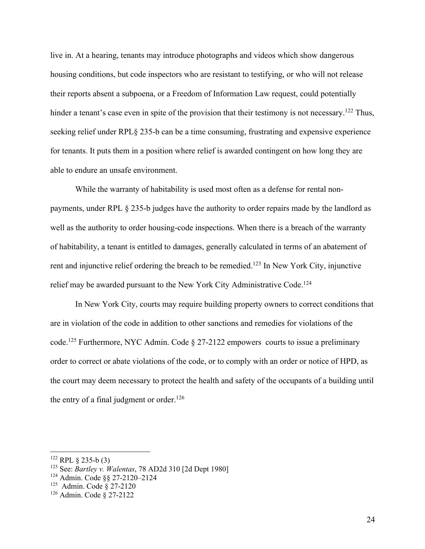live in. At a hearing, tenants may introduce photographs and videos which show dangerous housing conditions, but code inspectors who are resistant to testifying, or who will not release their reports absent a subpoena, or a Freedom of Information Law request, could potentially hinder a tenant's case even in spite of the provision that their testimony is not necessary.<sup>122</sup> Thus, seeking relief under RPL§ 235-b can be a time consuming, frustrating and expensive experience for tenants. It puts them in a position where relief is awarded contingent on how long they are able to endure an unsafe environment.

While the warranty of habitability is used most often as a defense for rental nonpayments, under RPL § 235-b judges have the authority to order repairs made by the landlord as well as the authority to order housing-code inspections. When there is a breach of the warranty of habitability, a tenant is entitled to damages, generally calculated in terms of an abatement of rent and injunctive relief ordering the breach to be remedied.<sup>123</sup> In New York City, injunctive relief may be awarded pursuant to the New York City Administrative Code.<sup>124</sup>

In New York City, courts may require building property owners to correct conditions that are in violation of the code in addition to other sanctions and remedies for violations of the code.125 Furthermore, NYC Admin. Code § 27-2122 empowers courts to issue a preliminary order to correct or abate violations of the code, or to comply with an order or notice of HPD, as the court may deem necessary to protect the health and safety of the occupants of a building until the entry of a final judgment or order.<sup>126</sup>

 $122$  RPL § 235-b (3)

<sup>123</sup> See: *Bartley v. Walentas*, 78 AD2d 310 [2d Dept 1980]

<sup>124</sup> Admin. Code §§ 27-2120–2124

<sup>125</sup> Admin. Code § 27-2120

<sup>126</sup> Admin. Code § 27-2122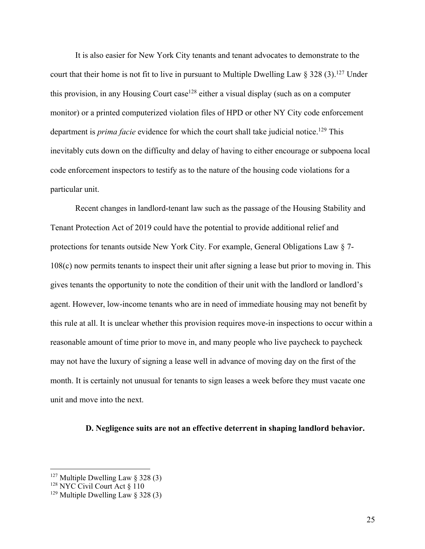It is also easier for New York City tenants and tenant advocates to demonstrate to the court that their home is not fit to live in pursuant to Multiple Dwelling Law  $\S 328 (3).^{127}$  Under this provision, in any Housing Court case<sup>128</sup> either a visual display (such as on a computer monitor) or a printed computerized violation files of HPD or other NY City code enforcement department is *prima facie* evidence for which the court shall take judicial notice.<sup>129</sup> This inevitably cuts down on the difficulty and delay of having to either encourage or subpoena local code enforcement inspectors to testify as to the nature of the housing code violations for a particular unit.

Recent changes in landlord-tenant law such as the passage of the Housing Stability and Tenant Protection Act of 2019 could have the potential to provide additional relief and protections for tenants outside New York City. For example, General Obligations Law § 7- 108(c) now permits tenants to inspect their unit after signing a lease but prior to moving in. This gives tenants the opportunity to note the condition of their unit with the landlord or landlord's agent. However, low-income tenants who are in need of immediate housing may not benefit by this rule at all. It is unclear whether this provision requires move-in inspections to occur within a reasonable amount of time prior to move in, and many people who live paycheck to paycheck may not have the luxury of signing a lease well in advance of moving day on the first of the month. It is certainly not unusual for tenants to sign leases a week before they must vacate one unit and move into the next.

### **D. Negligence suits are not an effective deterrent in shaping landlord behavior.**

 $127$  Multiple Dwelling Law § 328 (3)

<sup>&</sup>lt;sup>128</sup> NYC Civil Court Act § 110

<sup>&</sup>lt;sup>129</sup> Multiple Dwelling Law  $\S$  328 (3)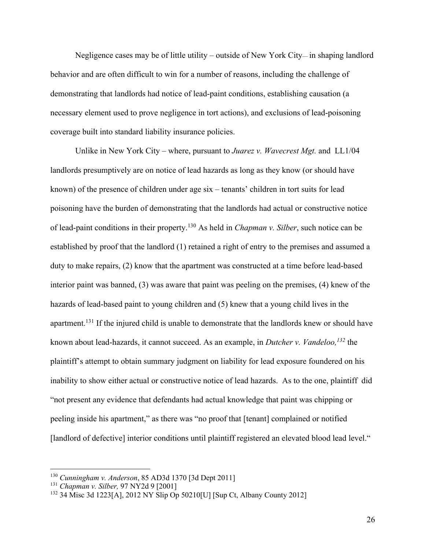Negligence cases may be of little utility – outside of New York City–– in shaping landlord behavior and are often difficult to win for a number of reasons, including the challenge of demonstrating that landlords had notice of lead-paint conditions, establishing causation (a necessary element used to prove negligence in tort actions), and exclusions of lead-poisoning coverage built into standard liability insurance policies.

Unlike in New York City – where, pursuant to *Juarez v. Wavecrest Mgt.* and LL1/04 landlords presumptively are on notice of lead hazards as long as they know (or should have known) of the presence of children under age six – tenants' children in tort suits for lead poisoning have the burden of demonstrating that the landlords had actual or constructive notice of lead-paint conditions in their property.130 As held in *Chapman v. Silber*, such notice can be established by proof that the landlord (1) retained a right of entry to the premises and assumed a duty to make repairs, (2) know that the apartment was constructed at a time before lead-based interior paint was banned, (3) was aware that paint was peeling on the premises, (4) knew of the hazards of lead-based paint to young children and (5) knew that a young child lives in the apartment.<sup>131</sup> If the injured child is unable to demonstrate that the landlords knew or should have known about lead-hazards, it cannot succeed. As an example, in *Dutcher v. Vandeloo, <sup>132</sup>* the plaintiff's attempt to obtain summary judgment on liability for lead exposure foundered on his inability to show either actual or constructive notice of lead hazards. As to the one, plaintiff did "not present any evidence that defendants had actual knowledge that paint was chipping or peeling inside his apartment," as there was "no proof that [tenant] complained or notified [landlord of defective] interior conditions until plaintiff registered an elevated blood lead level."

26

<sup>130</sup> *Cunningham v. Anderson*, 85 AD3d 1370 [3d Dept 2011]

<sup>131</sup> *Chapman v. Silber,* 97 NY2d 9 [2001]

<sup>132</sup> 34 Misc 3d 1223[A], 2012 NY Slip Op 50210[U] [Sup Ct, Albany County 2012]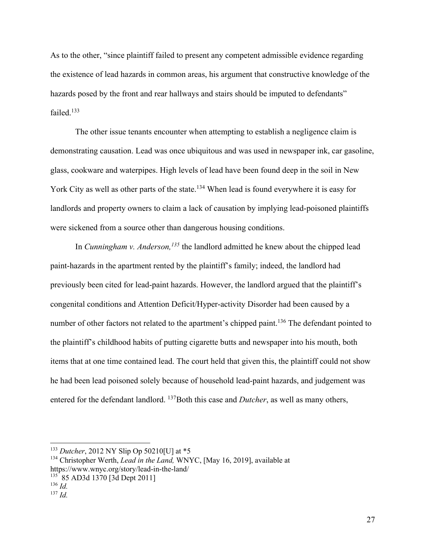As to the other, "since plaintiff failed to present any competent admissible evidence regarding the existence of lead hazards in common areas, his argument that constructive knowledge of the hazards posed by the front and rear hallways and stairs should be imputed to defendants" failed.133

The other issue tenants encounter when attempting to establish a negligence claim is demonstrating causation. Lead was once ubiquitous and was used in newspaper ink, car gasoline, glass, cookware and waterpipes. High levels of lead have been found deep in the soil in New York City as well as other parts of the state.<sup>134</sup> When lead is found everywhere it is easy for landlords and property owners to claim a lack of causation by implying lead-poisoned plaintiffs were sickened from a source other than dangerous housing conditions.

In *Cunningham v. Anderson, <sup>135</sup>* the landlord admitted he knew about the chipped lead paint-hazards in the apartment rented by the plaintiff's family; indeed, the landlord had previously been cited for lead-paint hazards. However, the landlord argued that the plaintiff's congenital conditions and Attention Deficit/Hyper-activity Disorder had been caused by a number of other factors not related to the apartment's chipped paint.<sup>136</sup> The defendant pointed to the plaintiff's childhood habits of putting cigarette butts and newspaper into his mouth, both items that at one time contained lead. The court held that given this, the plaintiff could not show he had been lead poisoned solely because of household lead-paint hazards, and judgement was entered for the defendant landlord. <sup>137</sup>Both this case and *Dutcher*, as well as many others,

<sup>133</sup> *Dutcher*, 2012 NY Slip Op 50210[U] at \*5

<sup>134</sup> Christopher Werth, *Lead in the Land,* WNYC, [May 16, 2019], available at https://www.wnyc.org/story/lead-in-the-land/

 $^{135}_{136}$  85 AD3d 1370 [3d Dept 2011]

 $137$  *Id.*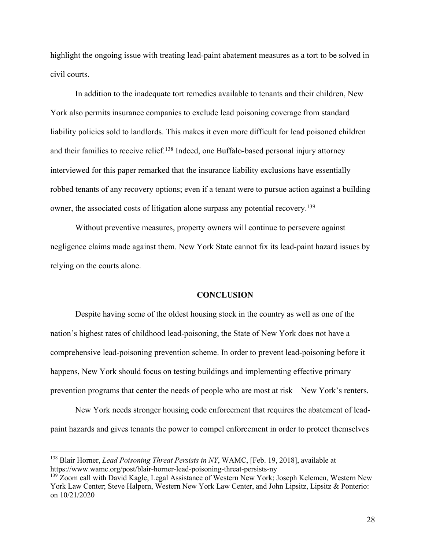highlight the ongoing issue with treating lead-paint abatement measures as a tort to be solved in civil courts.

In addition to the inadequate tort remedies available to tenants and their children, New York also permits insurance companies to exclude lead poisoning coverage from standard liability policies sold to landlords. This makes it even more difficult for lead poisoned children and their families to receive relief.<sup>138</sup> Indeed, one Buffalo-based personal injury attorney interviewed for this paper remarked that the insurance liability exclusions have essentially robbed tenants of any recovery options; even if a tenant were to pursue action against a building owner, the associated costs of litigation alone surpass any potential recovery.<sup>139</sup>

Without preventive measures, property owners will continue to persevere against negligence claims made against them. New York State cannot fix its lead-paint hazard issues by relying on the courts alone.

#### **CONCLUSION**

Despite having some of the oldest housing stock in the country as well as one of the nation's highest rates of childhood lead-poisoning, the State of New York does not have a comprehensive lead-poisoning prevention scheme. In order to prevent lead-poisoning before it happens, New York should focus on testing buildings and implementing effective primary prevention programs that center the needs of people who are most at risk––New York's renters.

New York needs stronger housing code enforcement that requires the abatement of leadpaint hazards and gives tenants the power to compel enforcement in order to protect themselves

<sup>138</sup> Blair Horner, *Lead Poisoning Threat Persists in NY*, WAMC, [Feb. 19, 2018], available at https://www.wamc.org/post/blair-horner-lead-poisoning-threat-persists-ny

<sup>&</sup>lt;sup>139</sup> Zoom call with David Kagle, Legal Assistance of Western New York; Joseph Kelemen, Western New York Law Center; Steve Halpern, Western New York Law Center, and John Lipsitz, Lipsitz & Ponterio: on 10/21/2020